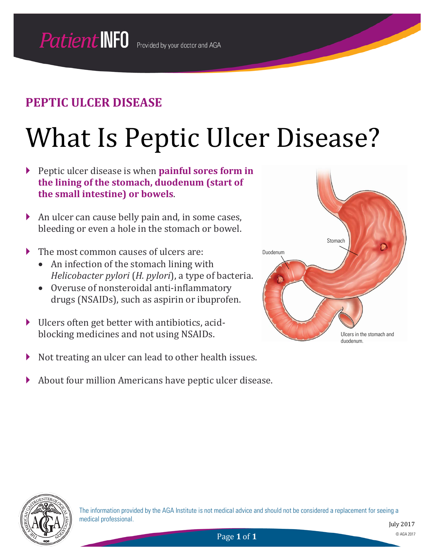# What Is Peptic Ulcer Disease?

- Peptic ulcer disease is when **painful sores form in the lining of the stomach, duodenum (start of the small intestine) or bowels**.
- An ulcer can cause belly pain and, in some cases, bleeding or even a hole in the stomach or bowel.
- The most common causes of ulcers are:
	- An infection of the stomach lining with *Helicobacter pylori* (*H. pylori*), a type of bacteria.
	- Overuse of nonsteroidal anti-inflammatory drugs (NSAIDs), such as aspirin or ibuprofen.
- Ulcers often get better with antibiotics, acidblocking medicines and not using NSAIDs.
- $\triangleright$  Not treating an ulcer can lead to other health issues.
- About four million Americans have peptic ulcer disease.



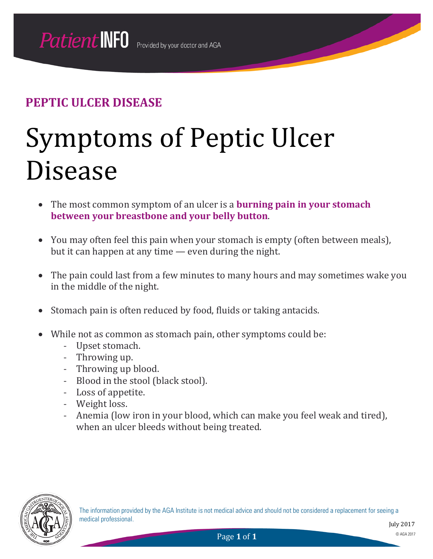# Symptoms of Peptic Ulcer Disease

- The most common symptom of an ulcer is a **burning pain in your stomach between your breastbone and your belly button**.
- You may often feel this pain when your stomach is empty (often between meals), but it can happen at any time — even during the night.
- The pain could last from a few minutes to many hours and may sometimes wake you in the middle of the night.
- Stomach pain is often reduced by food, fluids or taking antacids.
- While not as common as stomach pain, other symptoms could be:
	- Upset stomach.
	- Throwing up.
	- Throwing up blood.
	- Blood in the stool (black stool).
	- Loss of appetite.
	- Weight loss.
	- Anemia (low iron in your blood, which can make you feel weak and tired), when an ulcer bleeds without being treated.

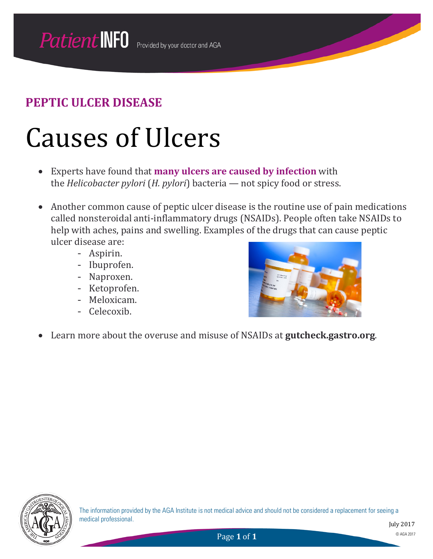## Causes of Ulcers

- Experts have found that **many ulcers are caused by infection** with the *Helicobacter pylori* (*H. pylori*) bacteria — not spicy food or stress.
- Another common cause of peptic ulcer disease is the routine use of pain medications called nonsteroidal anti-inflammatory drugs (NSAIDs). People often take NSAIDs to help with aches, pains and swelling. Examples of the drugs that can cause peptic ulcer disease are:
	- Aspirin.
	- Ibuprofen.
	- Naproxen.
	- Ketoprofen.
	- Meloxicam.
	- Celecoxib.



• Learn more about the overuse and misuse of NSAIDs at **gutcheck.gastro.org**.

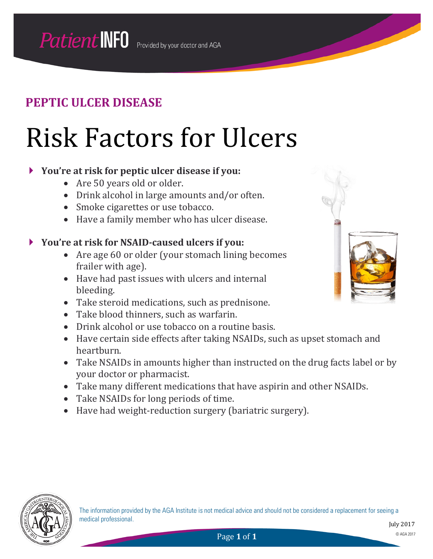## Risk Factors for Ulcers

#### **You're at risk for peptic ulcer disease if you:**

- Are 50 years old or older.
- Drink alcohol in large amounts and/or often.
- Smoke cigarettes or use tobacco.
- Have a family member who has ulcer disease.

#### **You're at risk for NSAID-caused ulcers if you:**

- Are age 60 or older (your stomach lining becomes frailer with age).
- Have had past issues with ulcers and internal bleeding.
- Take steroid medications, such as prednisone.
- Take blood thinners, such as warfarin.
- Drink alcohol or use tobacco on a routine basis.
- Have certain side effects after taking NSAIDs, such as upset stomach and heartburn.
- Take NSAIDs in amounts higher than instructed on the drug facts label or by your doctor or pharmacist.
- Take many different medications that have aspirin and other NSAIDs.
- Take NSAIDs for long periods of time.
- Have had weight-reduction surgery (bariatric surgery).



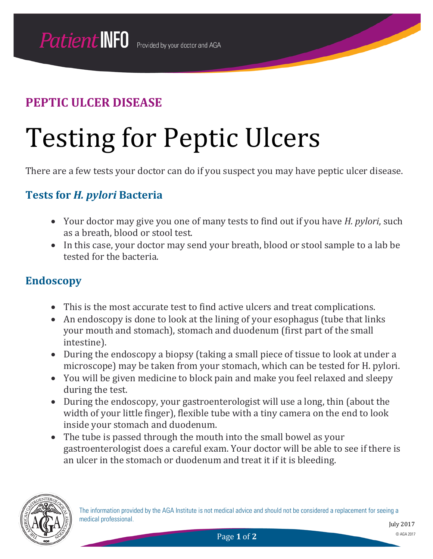# Testing for Peptic Ulcers

There are a few tests your doctor can do if you suspect you may have peptic ulcer disease.

### **Tests for** *H. pylori* **Bacteria**

- Your doctor may give you one of many tests to find out if you have *H. pylori*, such as a breath, blood or stool test.
- In this case, your doctor may send your breath, blood or stool sample to a lab be tested for the bacteria.

#### **Endoscopy**

- This is the most accurate test to find active ulcers and treat complications.
- An endoscopy is done to look at the lining of your esophagus (tube that links your mouth and stomach), stomach and duodenum (first part of the small intestine).
- During the endoscopy a biopsy (taking a small piece of tissue to look at under a microscope) may be taken from your stomach, which can be tested for H. pylori.
- You will be given medicine to block pain and make you feel relaxed and sleepy during the test.
- During the endoscopy, your gastroenterologist will use a long, thin (about the width of your little finger), flexible tube with a tiny camera on the end to look inside your stomach and duodenum.
- The tube is passed through the mouth into the small bowel as your gastroenterologist does a careful exam. Your doctor will be able to see if there is an ulcer in the stomach or duodenum and treat it if it is bleeding.

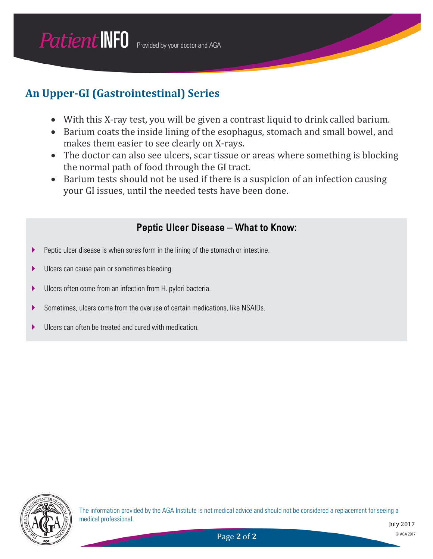### **An Upper-GI (Gastrointestinal) Series**

- With this X-ray test, you will be given a contrast liquid to drink called barium.
- Barium coats the inside lining of the esophagus, stomach and small bowel, and makes them easier to see clearly on X-rays.
- The doctor can also see ulcers, scar tissue or areas where something is blocking the normal path of food through the GI tract.
- Barium tests should not be used if there is a suspicion of an infection causing your GI issues, until the needed tests have been done.

#### Peptic Ulcer Disease – What to Know:

- Peptic ulcer disease is when sores form in the lining of the stomach or intestine.
- **IDED** Ulcers can cause pain or sometimes bleeding.
- Ulcers often come from an infection from H. pylori bacteria.
- Sometimes, ulcers come from the overuse of certain medications, like NSAIDs.
- Ulcers can often be treated and cured with medication.

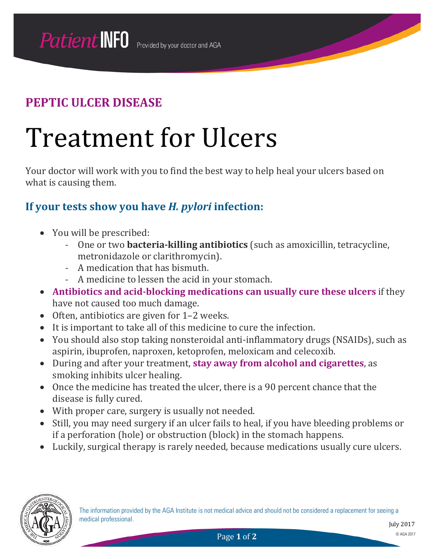## Treatment for Ulcers

Your doctor will work with you to find the best way to help heal your ulcers based on what is causing them.

### **If your tests show you have** *H. pylori* **infection:**

- You will be prescribed:
	- One or two **bacteria-killing antibiotics** (such as amoxicillin, tetracycline, metronidazole or clarithromycin).
	- A medication that has bismuth.
	- A medicine to lessen the acid in your stomach.
- **Antibiotics and acid-blocking medications can usually cure these ulcers** if they have not caused too much damage.
- Often, antibiotics are given for 1–2 weeks.
- It is important to take all of this medicine to cure the infection.
- You should also stop taking nonsteroidal anti-inflammatory drugs (NSAIDs), such as aspirin, ibuprofen, naproxen, ketoprofen, meloxicam and celecoxib.
- During and after your treatment, **stay away from alcohol and cigarettes**, as smoking inhibits ulcer healing.
- Once the medicine has treated the ulcer, there is a 90 percent chance that the disease is fully cured.
- With proper care, surgery is usually not needed.
- Still, you may need surgery if an ulcer fails to heal, if you have bleeding problems or if a perforation (hole) or obstruction (block) in the stomach happens.
- Luckily, surgical therapy is rarely needed, because medications usually cure ulcers.

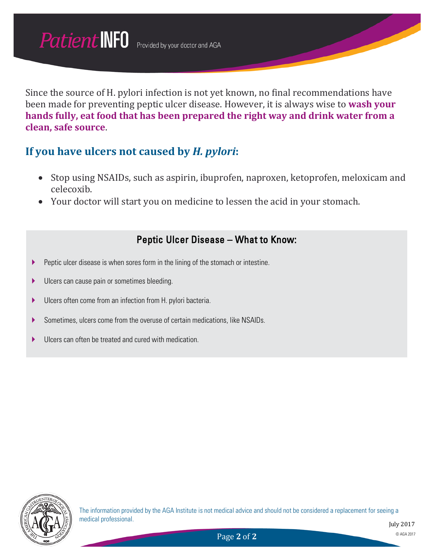Since the source of H. pylori infection is not yet known, no final recommendations have been made for preventing peptic ulcer disease. However, it is always wise to **wash your hands fully, eat food that has been prepared the right way and drink water from a clean, safe source**.

### **If you have ulcers not caused by** *H. pylori***:**

- Stop using NSAIDs, such as aspirin, ibuprofen, naproxen, ketoprofen, meloxicam and celecoxib.
- Your doctor will start you on medicine to lessen the acid in your stomach.

#### Peptic Ulcer Disease – What to Know:

- **Peptic ulcer disease is when sores form in the lining of the stomach or intestine.**
- **Ulcers can cause pain or sometimes bleeding.**
- Ulcers often come from an infection from H. pylori bacteria.
- Sometimes, ulcers come from the overuse of certain medications, like NSAIDs.
- Ulcers can often be treated and cured with medication.